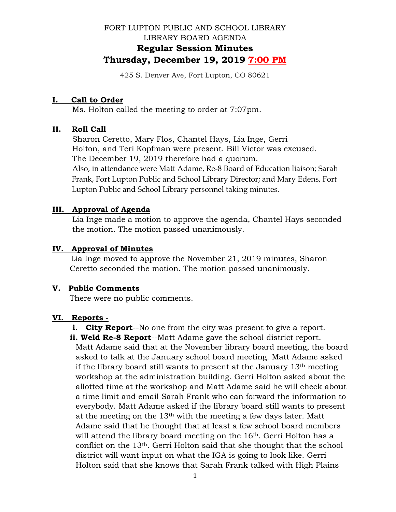# FORT LUPTON PUBLIC AND SCHOOL LIBRARY LIBRARY BOARD AGENDA **Regular Session Minutes Thursday, December 19, 2019 7:00 PM**

425 S. Denver Ave, Fort Lupton, CO 80621

### **I. Call to Order**

Ms. Holton called the meeting to order at 7:07pm.

### **II. Roll Call**

 Sharon Ceretto, Mary Flos, Chantel Hays, Lia Inge, Gerri Holton, and Teri Kopfman were present. Bill Victor was excused. The December 19, 2019 therefore had a quorum. Also, in attendance were Matt Adame, Re-8 Board of Education liaison; Sarah Frank, Fort Lupton Public and School Library Director; and Mary Edens, Fort Lupton Public and School Library personnel taking minutes.

## **III. Approval of Agenda**

 Lia Inge made a motion to approve the agenda, Chantel Hays seconded the motion. The motion passed unanimously.

### **IV. Approval of Minutes**

Lia Inge moved to approve the November 21, 2019 minutes, Sharon Ceretto seconded the motion. The motion passed unanimously.

#### **V. Public Comments**

There were no public comments.

## **VI. Reports -**

- **i.** City Report--No one from the city was present to give a report.
- **ii. Weld Re-8 Report**--Matt Adame gave the school district report.

Matt Adame said that at the November library board meeting, the board asked to talk at the January school board meeting. Matt Adame asked if the library board still wants to present at the January 13th meeting workshop at the administration building. Gerri Holton asked about the allotted time at the workshop and Matt Adame said he will check about a time limit and email Sarah Frank who can forward the information to everybody. Matt Adame asked if the library board still wants to present at the meeting on the 13th with the meeting a few days later. Matt Adame said that he thought that at least a few school board members will attend the library board meeting on the 16<sup>th</sup>. Gerri Holton has a conflict on the 13th. Gerri Holton said that she thought that the school district will want input on what the IGA is going to look like. Gerri Holton said that she knows that Sarah Frank talked with High Plains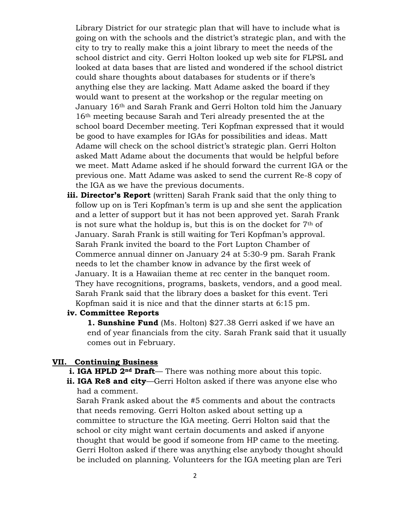Library District for our strategic plan that will have to include what is going on with the schools and the district's strategic plan, and with the city to try to really make this a joint library to meet the needs of the school district and city. Gerri Holton looked up web site for FLPSL and looked at data bases that are listed and wondered if the school district could share thoughts about databases for students or if there's anything else they are lacking. Matt Adame asked the board if they would want to present at the workshop or the regular meeting on January 16th and Sarah Frank and Gerri Holton told him the January 16th meeting because Sarah and Teri already presented the at the school board December meeting. Teri Kopfman expressed that it would be good to have examples for IGAs for possibilities and ideas. Matt Adame will check on the school district's strategic plan. Gerri Holton asked Matt Adame about the documents that would be helpful before we meet. Matt Adame asked if he should forward the current IGA or the previous one. Matt Adame was asked to send the current Re-8 copy of the IGA as we have the previous documents.

 **iii. Director's Report** (written) Sarah Frank said that the only thing to follow up on is Teri Kopfman's term is up and she sent the application and a letter of support but it has not been approved yet. Sarah Frank is not sure what the holdup is, but this is on the docket for  $7<sup>th</sup>$  of January. Sarah Frank is still waiting for Teri Kopfman's approval. Sarah Frank invited the board to the Fort Lupton Chamber of Commerce annual dinner on January 24 at 5:30-9 pm. Sarah Frank needs to let the chamber know in advance by the first week of January. It is a Hawaiian theme at rec center in the banquet room. They have recognitions, programs, baskets, vendors, and a good meal. Sarah Frank said that the library does a basket for this event. Teri Kopfman said it is nice and that the dinner starts at 6:15 pm.

#### **iv. Committee Reports**

**1. Sunshine Fund** (Ms. Holton) \$27.38 Gerri asked if we have an end of year financials from the city. Sarah Frank said that it usually comes out in February.

#### **VII. Continuing Business**

- **i. IGA HPLD 2<sup>nd</sup> Draft** There was nothing more about this topic.
- **ii. IGA Re8 and city**—Gerri Holton asked if there was anyone else who had a comment.

 Sarah Frank asked about the #5 comments and about the contracts that needs removing. Gerri Holton asked about setting up a committee to structure the IGA meeting. Gerri Holton said that the school or city might want certain documents and asked if anyone thought that would be good if someone from HP came to the meeting. Gerri Holton asked if there was anything else anybody thought should be included on planning. Volunteers for the IGA meeting plan are Teri